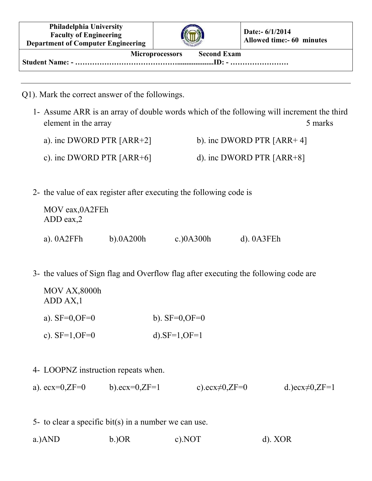| <b>Philadelphia University</b><br><b>Faculty of Engineering</b><br><b>Department of Computer Engineering</b> |  | Date:- $6/1/2014$<br>Allowed time:- 60 minutes |  |  |  |  |
|--------------------------------------------------------------------------------------------------------------|--|------------------------------------------------|--|--|--|--|
| <b>Second Exam</b><br><b>Microprocessors</b>                                                                 |  |                                                |  |  |  |  |

- Q1). Mark the correct answer of the followings.
	- 1- Assume ARR is an array of double words which of the following will increment the third element in the array 5 marks 5 marks
		- a). inc DWORD PTR  $[ARR+2]$  b). inc DWORD PTR  $[ARR+4]$
		- c). inc DWORD PTR  $[ARR+6]$  d). inc DWORD PTR  $[ARR+8]$
	- 2- the value of eax register after executing the following code is

| MOV eax, 0A2FEh<br>$ADD$ eax, $2$ |              |              |                 |
|-----------------------------------|--------------|--------------|-----------------|
| a). $0A2FFh$                      | $b)$ .0A200h | c.) $0A300h$ | $d)$ . $0A3FEh$ |

3- the values of Sign flag and Overflow flag after executing the following code are

| MOV AX,8000h<br>ADD AX, 1 |                     |
|---------------------------|---------------------|
| a). $SF=0, OF=0$          | b). $SF=0$ , $OF=0$ |
| c). $SF=1, OF=0$          | d).SF= $1,$ OF= $1$ |

## 4- LOOPNZ instruction repeats when.

- a). ecx=0,ZF=0 b).ecx=0,ZF=1 c).ecx $\neq$ 0,ZF=0 d.)ecx $\neq$ 0,ZF=1
- 5- to clear a specific bit(s) in a number we can use.
- a.)AND b.)OR c).NOT d). XOR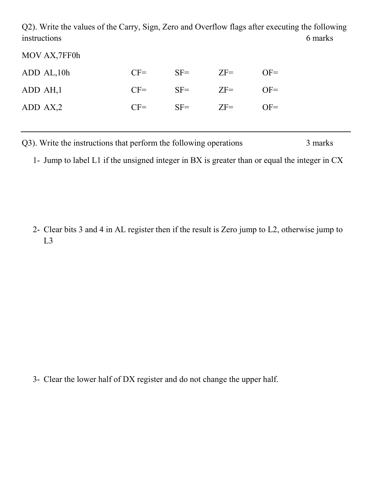Q2). Write the values of the Carry, Sign, Zero and Overflow flags after executing the following instructions 6 marks

MOV AX,7FF0h

| ADD AL, 10h | $CF =$ | $SF =$ | $ZF =$ | $OF =$ |
|-------------|--------|--------|--------|--------|
| ADD AH, 1   | $CF=$  | $SF =$ | $ZF=$  | $OF =$ |
| ADD AX,2    | $CF=$  | $SF =$ | $ZF=$  | $OF =$ |

Q3). Write the instructions that perform the following operations 3 marks

1- Jump to label L1 if the unsigned integer in BX is greater than or equal the integer in CX

2- Clear bits 3 and 4 in AL register then if the result is Zero jump to L2, otherwise jump to L3

3- Clear the lower half of DX register and do not change the upper half.